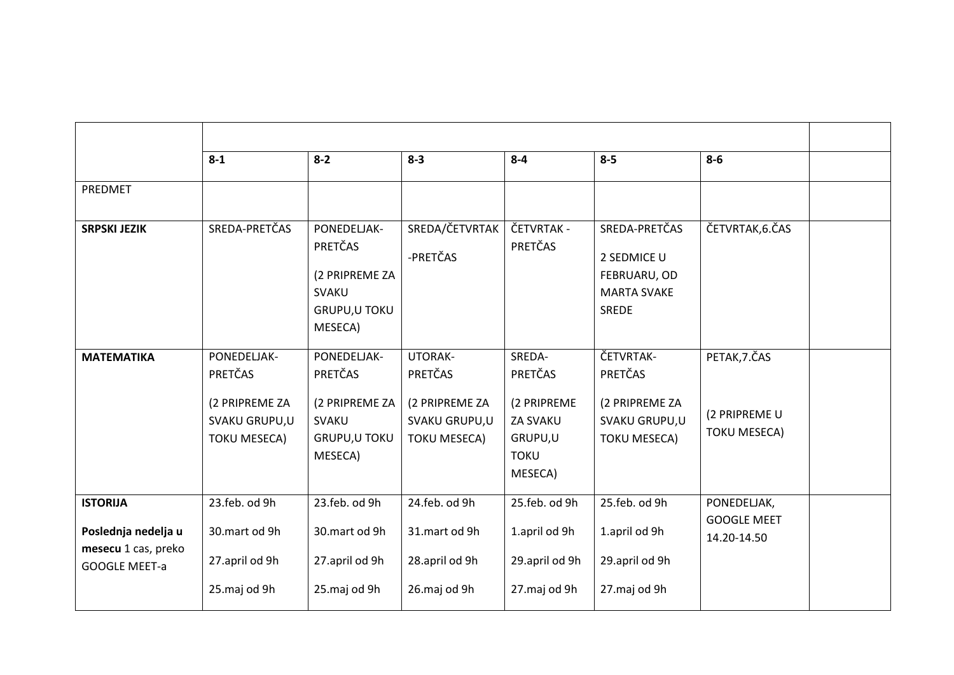|                                                                                       | $8 - 1$                                                                          | $8 - 2$                                                                                     | $8 - 3$                                                                             | $8 - 4$                                                                                  | $8 - 5$                                                                            | $8-6$                                                 |  |
|---------------------------------------------------------------------------------------|----------------------------------------------------------------------------------|---------------------------------------------------------------------------------------------|-------------------------------------------------------------------------------------|------------------------------------------------------------------------------------------|------------------------------------------------------------------------------------|-------------------------------------------------------|--|
| PREDMET                                                                               |                                                                                  |                                                                                             |                                                                                     |                                                                                          |                                                                                    |                                                       |  |
| <b>SRPSKI JEZIK</b>                                                                   | SREDA-PRETČAS                                                                    | PONEDELJAK-<br>PRETČAS<br>(2 PRIPREME ZA<br><b>SVAKU</b><br><b>GRUPU, U TOKU</b><br>MESECA) | SREDA/ČETVRTAK<br>-PRETČAS                                                          | ČETVRTAK -<br><b>PRETČAS</b>                                                             | SREDA-PRETČAS<br>2 SEDMICE U<br>FEBRUARU, OD<br><b>MARTA SVAKE</b><br><b>SREDE</b> | ČETVRTAK, 6. ČAS                                      |  |
| <b>MATEMATIKA</b>                                                                     | PONEDELJAK-<br>PRETČAS<br>(2 PRIPREME ZA<br>SVAKU GRUPU,U<br><b>TOKU MESECA)</b> | PONEDELJAK-<br>PRETČAS<br>(2 PRIPREME ZA<br><b>SVAKU</b><br><b>GRUPU, U TOKU</b><br>MESECA) | <b>UTORAK-</b><br>PRETČAS<br>(2 PRIPREME ZA<br>SVAKU GRUPU,U<br><b>TOKU MESECA)</b> | SREDA-<br>PRETČAS<br>(2 PRIPREME<br><b>ZA SVAKU</b><br>GRUPU,U<br><b>TOKU</b><br>MESECA) | ČETVRTAK-<br>PRETČAS<br>(2 PRIPREME ZA<br>SVAKU GRUPU,U<br><b>TOKU MESECA)</b>     | PETAK, 7. ČAS<br>(2 PRIPREME U<br><b>TOKU MESECA)</b> |  |
| <b>ISTORIJA</b><br>Poslednja nedelja u<br>mesecu 1 cas, preko<br><b>GOOGLE MEET-a</b> | 23.feb. od 9h<br>30.mart od 9h<br>27.april od 9h<br>25.maj od 9h                 | 23.feb. od 9h<br>30.mart od 9h<br>27.april od 9h<br>25.maj od 9h                            | 24.feb. od 9h<br>31.mart od 9h<br>28.april od 9h<br>26.maj od 9h                    | 25.feb. od 9h<br>1.april od 9h<br>29.april od 9h<br>27.maj od 9h                         | 25.feb. od 9h<br>1.april od 9h<br>29.april od 9h<br>27.maj od 9h                   | PONEDELJAK,<br><b>GOOGLE MEET</b><br>14.20-14.50      |  |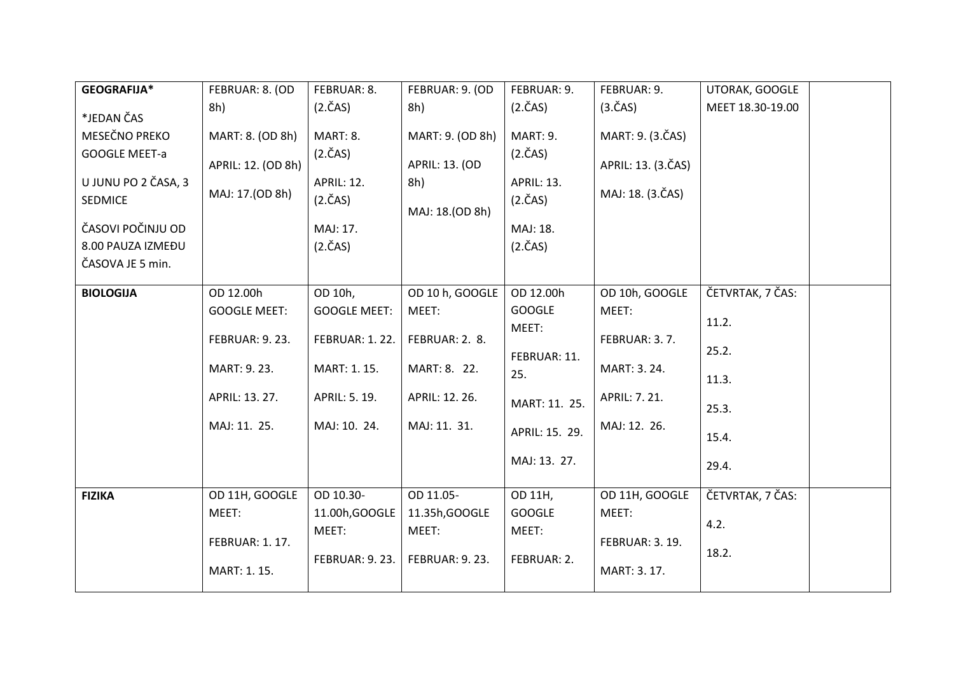| GEOGRAFIJA*          | FEBRUAR: 8. (OD       | FEBRUAR: 8.           | FEBRUAR: 9. (OD       | FEBRUAR: 9.          | FEBRUAR: 9.           | UTORAK, GOOGLE   |  |
|----------------------|-----------------------|-----------------------|-----------------------|----------------------|-----------------------|------------------|--|
|                      | 8h)                   | $(2.\text{\r{C}}AS)$  | 8h)                   | $(2.\text{\r{C}}AS)$ | $(3.\text{ČAS})$      | MEET 18.30-19.00 |  |
| *JEDAN ČAS           |                       |                       |                       |                      |                       |                  |  |
| MESEČNO PREKO        | MART: 8. (OD 8h)      | MART: 8.              | MART: 9. (OD 8h)      | MART: 9.             | MART: 9. (3.ČAS)      |                  |  |
| <b>GOOGLE MEET-a</b> | APRIL: 12. (OD 8h)    | $(2.\text{\r{C}}AS)$  | APRIL: 13. (OD        | $(2.\text{\r{C}}AS)$ | APRIL: 13. (3.ČAS)    |                  |  |
| U JUNU PO 2 ČASA, 3  |                       | <b>APRIL: 12.</b>     | 8h)                   | APRIL: 13.           |                       |                  |  |
| <b>SEDMICE</b>       | MAJ: 17.(OD 8h)       | $(2.\text{\r{C}}AS)$  | MAJ: 18.(OD 8h)       | $(2.\text{ČAS})$     | MAJ: 18. (3.ČAS)      |                  |  |
| ČASOVI POČINJU OD    |                       | MAJ: 17.              |                       | MAJ: 18.             |                       |                  |  |
| 8.00 PAUZA IZMEĐU    |                       | $(2.\text{ČAS})$      |                       | $(2.\text{ČAS})$     |                       |                  |  |
| ČASOVA JE 5 min.     |                       |                       |                       |                      |                       |                  |  |
|                      |                       |                       |                       |                      |                       |                  |  |
| <b>BIOLOGIJA</b>     | OD 12.00h             | OD 10h,               | OD 10 h, GOOGLE       | OD 12.00h            | OD 10h, GOOGLE        | ČETVRTAK, 7 ČAS: |  |
|                      | <b>GOOGLE MEET:</b>   | <b>GOOGLE MEET:</b>   | MEET:                 | <b>GOOGLE</b>        | MEET:                 |                  |  |
|                      |                       |                       |                       | MEET:                |                       | 11.2.            |  |
|                      | <b>FEBRUAR: 9.23.</b> | <b>FEBRUAR: 1.22.</b> | FEBRUAR: 2. 8.        |                      | FEBRUAR: 3.7.         | 25.2.            |  |
|                      | MART: 9.23.           | MART: 1.15.           | MART: 8. 22.          | FEBRUAR: 11.<br>25.  | MART: 3.24.           |                  |  |
|                      |                       |                       |                       |                      |                       | 11.3.            |  |
|                      | APRIL: 13. 27.        | APRIL: 5. 19.         | APRIL: 12. 26.        | MART: 11. 25.        | APRIL: 7.21.          | 25.3.            |  |
|                      | MAJ: 11. 25.          | MAJ: 10. 24.          | MAJ: 11. 31.          | APRIL: 15. 29.       | MAJ: 12. 26.          | 15.4.            |  |
|                      |                       |                       |                       |                      |                       |                  |  |
|                      |                       |                       |                       | MAJ: 13. 27.         |                       | 29.4.            |  |
| <b>FIZIKA</b>        | OD 11H, GOOGLE        | OD 10.30-             | OD 11.05-             | OD 11H,              | OD 11H, GOOGLE        | ČETVRTAK, 7 ČAS: |  |
|                      | MEET:                 | 11.00h, GOOGLE        | 11.35h, GOOGLE        | <b>GOOGLE</b>        | MEET:                 |                  |  |
|                      |                       | MEET:                 | MEET:                 | MEET:                |                       | 4.2.             |  |
|                      | <b>FEBRUAR: 1.17.</b> |                       |                       |                      | <b>FEBRUAR: 3.19.</b> |                  |  |
|                      |                       | <b>FEBRUAR: 9.23.</b> | <b>FEBRUAR: 9.23.</b> | FEBRUAR: 2.          |                       | 18.2.            |  |
|                      | MART: 1.15.           |                       |                       |                      | MART: 3.17.           |                  |  |
|                      |                       |                       |                       |                      |                       |                  |  |